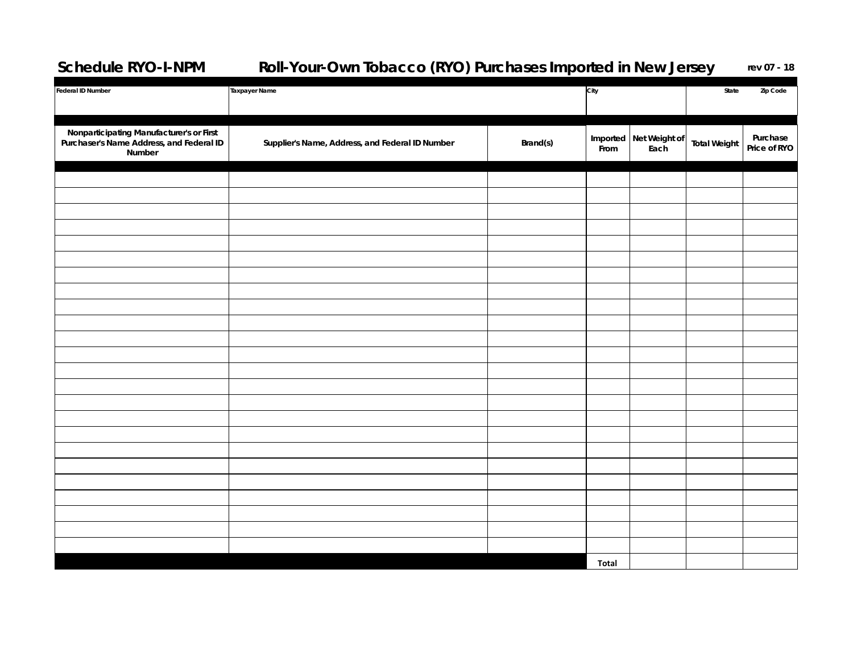## **Schedule RYO-I-NPM Roll-Your-Own Tobacco (RYO) Purchases Imported in New Jersey rev 07 - 18**

| <b>Federal ID Number</b>                                                                       | <b>Taxpayer Name</b>                            |          | City  |                        | Zip Code<br>State   |                          |
|------------------------------------------------------------------------------------------------|-------------------------------------------------|----------|-------|------------------------|---------------------|--------------------------|
|                                                                                                |                                                 |          |       |                        |                     |                          |
| Nonparticipating Manufacturer's or First<br>Purchaser's Name Address, and Federal ID<br>Number | Supplier's Name, Address, and Federal ID Number | Brand(s) |       | Imported Net Weight of | <b>Total Weight</b> | Purchase<br>Price of RYO |
|                                                                                                |                                                 |          | From  | Each                   |                     |                          |
|                                                                                                |                                                 |          |       |                        |                     |                          |
|                                                                                                |                                                 |          |       |                        |                     |                          |
|                                                                                                |                                                 |          |       |                        |                     |                          |
|                                                                                                |                                                 |          |       |                        |                     |                          |
|                                                                                                |                                                 |          |       |                        |                     |                          |
|                                                                                                |                                                 |          |       |                        |                     |                          |
|                                                                                                |                                                 |          |       |                        |                     |                          |
|                                                                                                |                                                 |          |       |                        |                     |                          |
|                                                                                                |                                                 |          |       |                        |                     |                          |
|                                                                                                |                                                 |          |       |                        |                     |                          |
|                                                                                                |                                                 |          |       |                        |                     |                          |
|                                                                                                |                                                 |          |       |                        |                     |                          |
|                                                                                                |                                                 |          |       |                        |                     |                          |
|                                                                                                |                                                 |          |       |                        |                     |                          |
|                                                                                                |                                                 |          |       |                        |                     |                          |
|                                                                                                |                                                 |          |       |                        |                     |                          |
|                                                                                                |                                                 |          |       |                        |                     |                          |
|                                                                                                |                                                 |          |       |                        |                     |                          |
|                                                                                                |                                                 |          |       |                        |                     |                          |
|                                                                                                |                                                 |          |       |                        |                     |                          |
|                                                                                                |                                                 |          |       |                        |                     |                          |
|                                                                                                |                                                 |          |       |                        |                     |                          |
|                                                                                                |                                                 |          |       |                        |                     |                          |
|                                                                                                |                                                 |          | Total |                        |                     |                          |